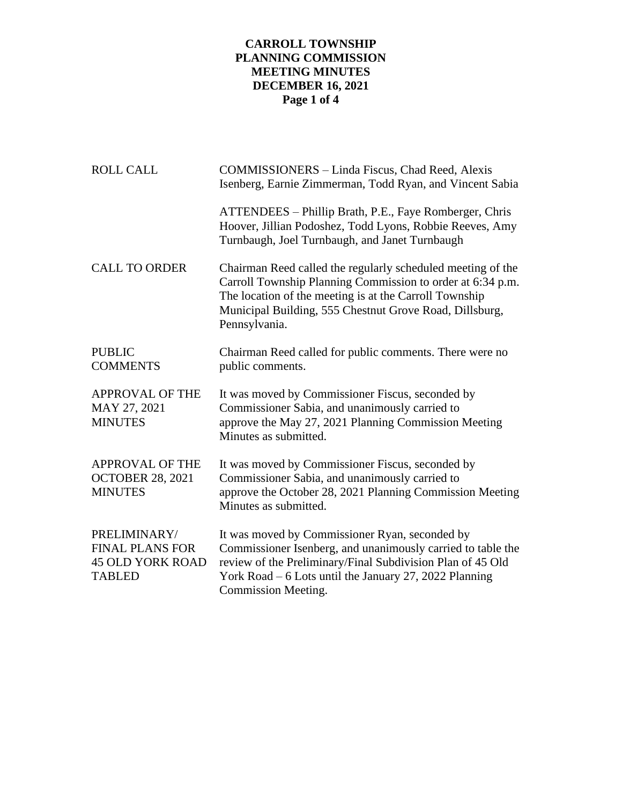## **CARROLL TOWNSHIP PLANNING COMMISSION MEETING MINUTES DECEMBER 16, 2021 Page 1 of 4**

| <b>ROLL CALL</b>                                                                   | COMMISSIONERS - Linda Fiscus, Chad Reed, Alexis<br>Isenberg, Earnie Zimmerman, Todd Ryan, and Vincent Sabia                                                                                                                                                     |
|------------------------------------------------------------------------------------|-----------------------------------------------------------------------------------------------------------------------------------------------------------------------------------------------------------------------------------------------------------------|
|                                                                                    | ATTENDEES – Phillip Brath, P.E., Faye Romberger, Chris<br>Hoover, Jillian Podoshez, Todd Lyons, Robbie Reeves, Amy<br>Turnbaugh, Joel Turnbaugh, and Janet Turnbaugh                                                                                            |
| <b>CALL TO ORDER</b>                                                               | Chairman Reed called the regularly scheduled meeting of the<br>Carroll Township Planning Commission to order at 6:34 p.m.<br>The location of the meeting is at the Carroll Township<br>Municipal Building, 555 Chestnut Grove Road, Dillsburg,<br>Pennsylvania. |
| <b>PUBLIC</b><br><b>COMMENTS</b>                                                   | Chairman Reed called for public comments. There were no<br>public comments.                                                                                                                                                                                     |
| <b>APPROVAL OF THE</b><br>MAY 27, 2021<br><b>MINUTES</b>                           | It was moved by Commissioner Fiscus, seconded by<br>Commissioner Sabia, and unanimously carried to<br>approve the May 27, 2021 Planning Commission Meeting<br>Minutes as submitted.                                                                             |
| <b>APPROVAL OF THE</b><br><b>OCTOBER 28, 2021</b><br><b>MINUTES</b>                | It was moved by Commissioner Fiscus, seconded by<br>Commissioner Sabia, and unanimously carried to<br>approve the October 28, 2021 Planning Commission Meeting<br>Minutes as submitted.                                                                         |
| PRELIMINARY/<br><b>FINAL PLANS FOR</b><br><b>45 OLD YORK ROAD</b><br><b>TABLED</b> | It was moved by Commissioner Ryan, seconded by<br>Commissioner Isenberg, and unanimously carried to table the<br>review of the Preliminary/Final Subdivision Plan of 45 Old<br>York Road $-6$ Lots until the January 27, 2022 Planning<br>Commission Meeting.   |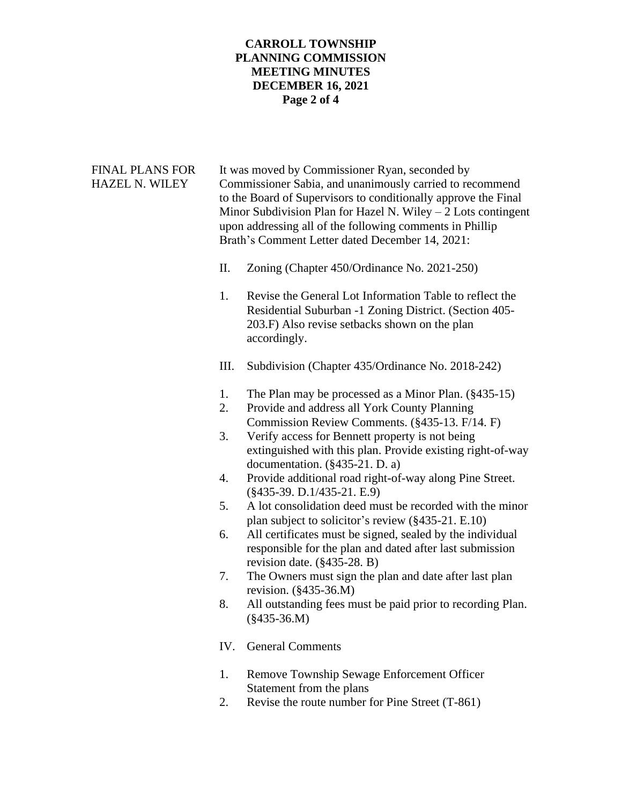## **CARROLL TOWNSHIP PLANNING COMMISSION MEETING MINUTES DECEMBER 16, 2021 Page 2 of 4**

| <b>FINAL PLANS FOR</b><br>HAZEL N. WILEY |          | It was moved by Commissioner Ryan, seconded by<br>Commissioner Sabia, and unanimously carried to recommend<br>to the Board of Supervisors to conditionally approve the Final<br>Minor Subdivision Plan for Hazel N. Wiley $-2$ Lots contingent<br>upon addressing all of the following comments in Phillip<br>Brath's Comment Letter dated December 14, 2021: |
|------------------------------------------|----------|---------------------------------------------------------------------------------------------------------------------------------------------------------------------------------------------------------------------------------------------------------------------------------------------------------------------------------------------------------------|
|                                          | II.      | Zoning (Chapter 450/Ordinance No. 2021-250)                                                                                                                                                                                                                                                                                                                   |
|                                          | 1.       | Revise the General Lot Information Table to reflect the<br>Residential Suburban -1 Zoning District. (Section 405-<br>203.F) Also revise setbacks shown on the plan<br>accordingly.                                                                                                                                                                            |
|                                          | Ш.       | Subdivision (Chapter 435/Ordinance No. 2018-242)                                                                                                                                                                                                                                                                                                              |
|                                          | 1.<br>2. | The Plan may be processed as a Minor Plan. (§435-15)<br>Provide and address all York County Planning<br>Commission Review Comments. (§435-13. F/14. F)                                                                                                                                                                                                        |
|                                          | 3.       | Verify access for Bennett property is not being<br>extinguished with this plan. Provide existing right-of-way<br>documentation. $(\S 435-21. D. a)$                                                                                                                                                                                                           |
|                                          | 4.       | Provide additional road right-of-way along Pine Street.<br>$(\$435-39. D.1/435-21. E.9)$                                                                                                                                                                                                                                                                      |
|                                          | 5.       | A lot consolidation deed must be recorded with the minor<br>plan subject to solicitor's review (§435-21. E.10)                                                                                                                                                                                                                                                |
|                                          | 6.       | All certificates must be signed, sealed by the individual<br>responsible for the plan and dated after last submission<br>revision date. $(\S 435-28. B)$                                                                                                                                                                                                      |
|                                          | 7.       | The Owners must sign the plan and date after last plan<br>revision. (§435-36.M)                                                                                                                                                                                                                                                                               |
|                                          | 8.       | All outstanding fees must be paid prior to recording Plan.<br>$(\$435-36.M)$                                                                                                                                                                                                                                                                                  |
|                                          | IV.      | <b>General Comments</b>                                                                                                                                                                                                                                                                                                                                       |
|                                          | 1.       | Remove Township Sewage Enforcement Officer<br>Statement from the plans                                                                                                                                                                                                                                                                                        |

2. Revise the route number for Pine Street (T-861)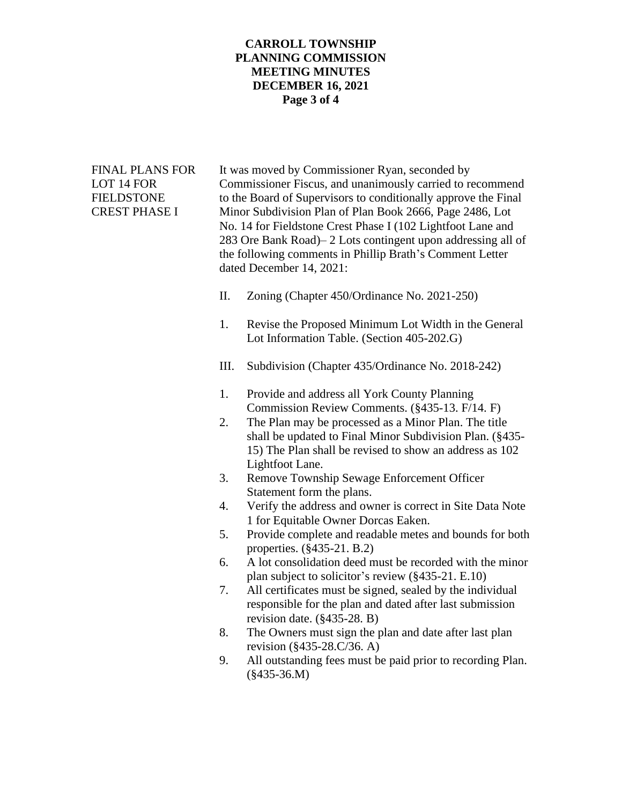## **CARROLL TOWNSHIP PLANNING COMMISSION MEETING MINUTES DECEMBER 16, 2021 Page 3 of 4**

FINAL PLANS FOR It was moved by Commissioner Ryan, seconded by LOT 14 FOR Commissioner Fiscus, and unanimously carried to recommend FIELDSTONE to the Board of Supervisors to conditionally approve the Final CREST PHASE I Minor Subdivision Plan of Plan Book 2666, Page 2486, Lot No. 14 for Fieldstone Crest Phase I (102 Lightfoot Lane and 283 Ore Bank Road)– 2 Lots contingent upon addressing all of the following comments in Phillip Brath's Comment Letter dated December 14, 2021:

- II. Zoning (Chapter 450/Ordinance No. 2021-250)
- 1. Revise the Proposed Minimum Lot Width in the General Lot Information Table. (Section 405-202.G)
- III. Subdivision (Chapter 435/Ordinance No. 2018-242)
- 1. Provide and address all York County Planning Commission Review Comments. (§435-13. F/14. F)
- 2. The Plan may be processed as a Minor Plan. The title shall be updated to Final Minor Subdivision Plan. (§435- 15) The Plan shall be revised to show an address as 102 Lightfoot Lane.
- 3. Remove Township Sewage Enforcement Officer Statement form the plans.
- 4. Verify the address and owner is correct in Site Data Note 1 for Equitable Owner Dorcas Eaken.
- 5. Provide complete and readable metes and bounds for both properties. (§435-21. B.2)
- 6. A lot consolidation deed must be recorded with the minor plan subject to solicitor's review (§435-21. E.10)
- 7. All certificates must be signed, sealed by the individual responsible for the plan and dated after last submission revision date. (§435-28. B)
- 8. The Owners must sign the plan and date after last plan revision (§435-28.C/36. A)
- 9. All outstanding fees must be paid prior to recording Plan. (§435-36.M)